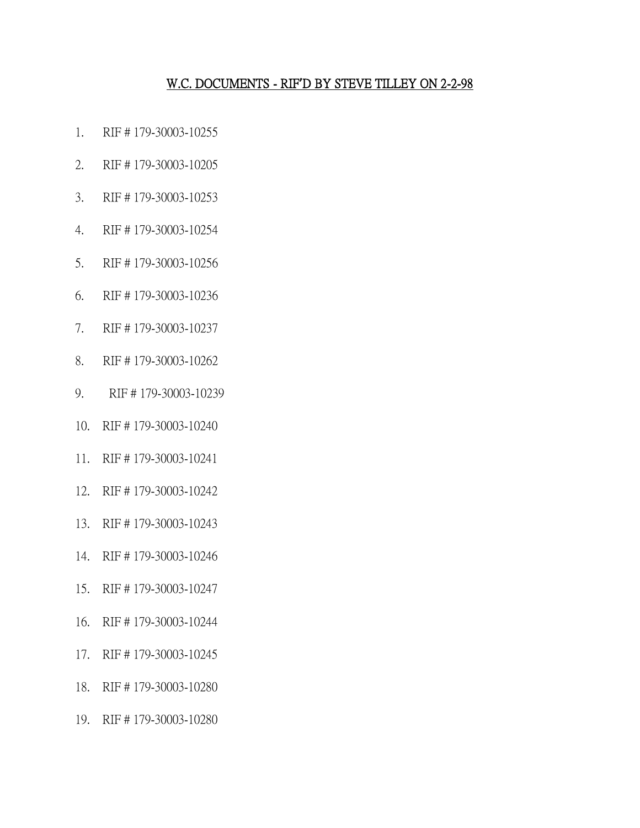#### W.C. DOCUMENTS - RIF**'**D BY STEVE TILLEY ON 2-2-98

- 1. RIF # 179-30003-10255
- 2. RIF # 179-30003-10205
- 3. RIF # 179-30003-10253
- 4. RIF # 179-30003-10254
- 5. RIF # 179-30003-10256
- 6. RIF # 179-30003-10236
- 7. RIF # 179-30003-10237
- 8. RIF # 179-30003-10262
- 9. RIF # 179-30003-10239
- 10. RIF # 179-30003-10240
- 11. RIF # 179-30003-10241
- 12. RIF # 179-30003-10242
- 13. RIF # 179-30003-10243
- 14. RIF # 179-30003-10246
- 15. RIF # 179-30003-10247
- 16. RIF # 179-30003-10244
- 17. RIF # 179-30003-10245
- 18. RIF # 179-30003-10280
- 19. RIF # 179-30003-10280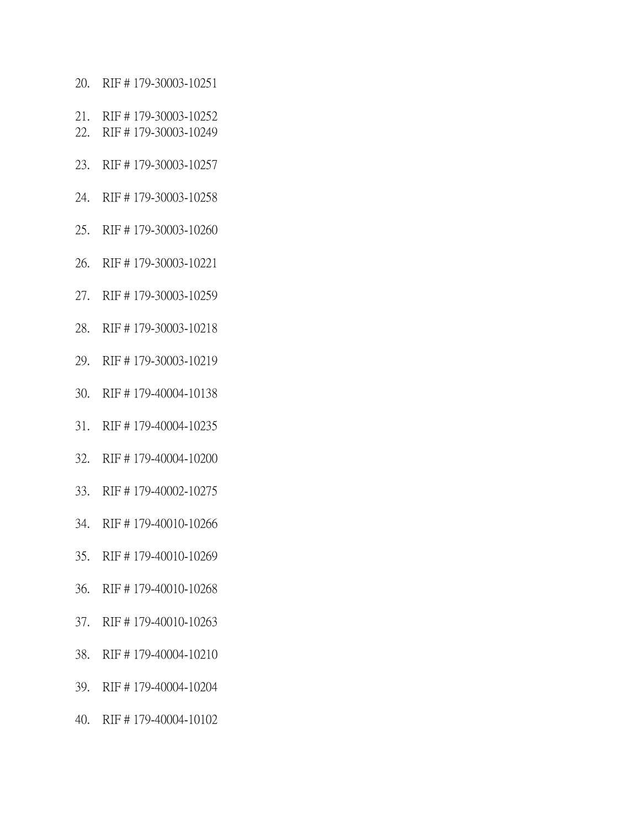- 20. RIF # 179-30003-10251
- 21. RIF # 179-30003-10252
- 22. RIF # 179-30003-10249
- 23. RIF # 179-30003-10257
- 24. RIF # 179-30003-10258
- 25. RIF # 179-30003-10260
- 26. RIF # 179-30003-10221
- 27. RIF # 179-30003-10259
- 28. RIF # 179-30003-10218
- 29. RIF # 179-30003-10219
- 30. RIF # 179-40004-10138
- 31. RIF # 179-40004-10235
- 32. RIF # 179-40004-10200
- 33. RIF # 179-40002-10275
- 34. RIF # 179-40010-10266
- 35. RIF # 179-40010-10269
- 36. RIF # 179-40010-10268
- 37. RIF # 179-40010-10263
- 38. RIF # 179-40004-10210
- 39. RIF # 179-40004-10204
- 40. RIF # 179-40004-10102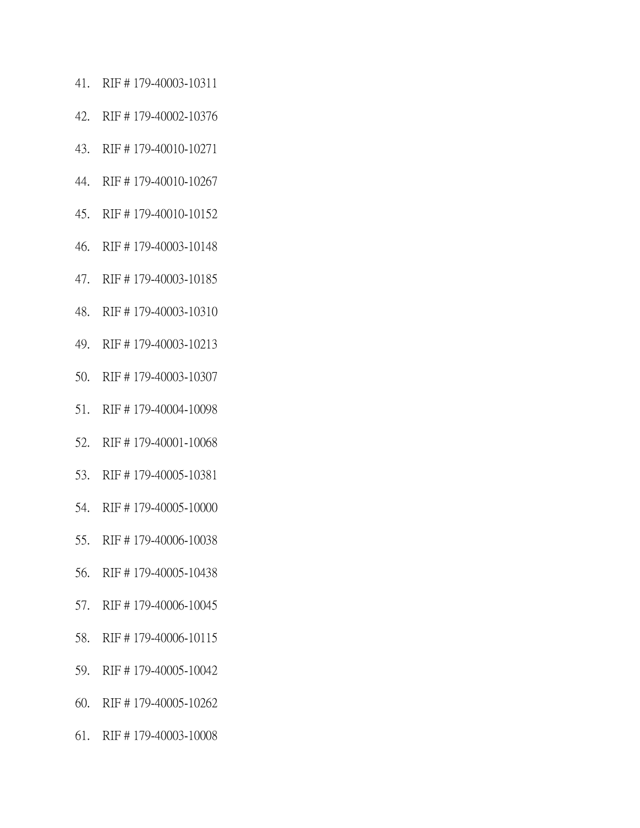- 41. RIF # 179-40003-10311
- 42. RIF # 179-40002-10376
- 43. RIF # 179-40010-10271
- 44. RIF # 179-40010-10267
- 45. RIF # 179-40010-10152
- 46. RIF # 179-40003-10148
- 47. RIF # 179-40003-10185
- 48. RIF # 179-40003-10310
- 49. RIF # 179-40003-10213
- 50. RIF # 179-40003-10307
- 51. RIF # 179-40004-10098
- 52. RIF # 179-40001-10068
- 53. RIF # 179-40005-10381
- 54. RIF # 179-40005-10000
- 55. RIF # 179-40006-10038
- 56. RIF # 179-40005-10438
- 57. RIF # 179-40006-10045
- 58. RIF # 179-40006-10115
- 59. RIF # 179-40005-10042
- 60. RIF # 179-40005-10262
- 61. RIF # 179-40003-10008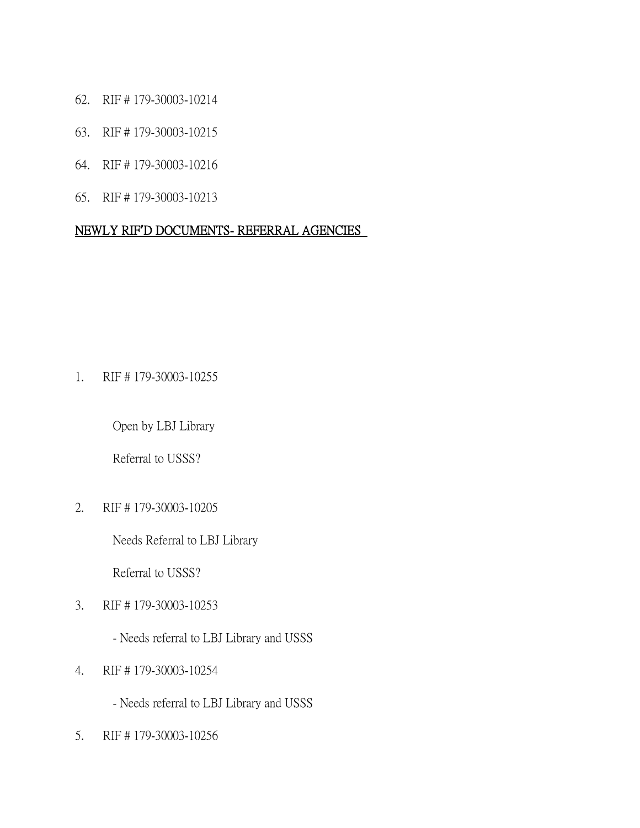- 62. RIF # 179-30003-10214
- 63. RIF # 179-30003-10215
- 64. RIF # 179-30003-10216
- 65. RIF # 179-30003-10213

## NEWLY RIF**'**D DOCUMENTS- REFERRAL AGENCIES

1. RIF # 179-30003-10255

Open by LBJ Library

Referral to USSS?

2. RIF # 179-30003-10205

Needs Referral to LBJ Library

Referral to USSS?

- 3. RIF # 179-30003-10253
	- Needs referral to LBJ Library and USSS
- 4. RIF # 179-30003-10254
	- Needs referral to LBJ Library and USSS
- 5. RIF # 179-30003-10256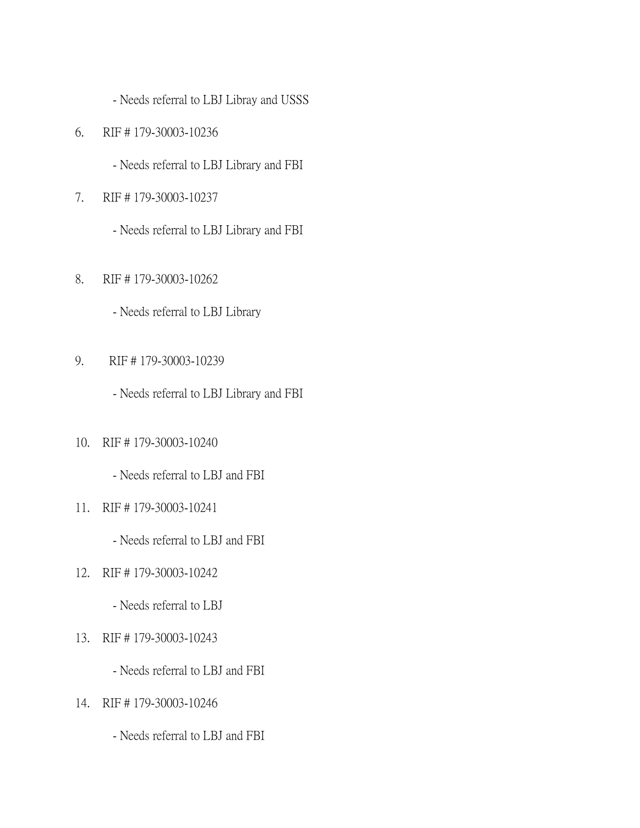- Needs referral to LBJ Libray and USSS

- 6. RIF # 179-30003-10236
	- Needs referral to LBJ Library and FBI
- 7. RIF # 179-30003-10237
	- Needs referral to LBJ Library and FBI
- 8. RIF # 179-30003-10262
	- Needs referral to LBJ Library
- 9. RIF # 179-30003-10239
	- Needs referral to LBJ Library and FBI
- 10. RIF # 179-30003-10240

- Needs referral to LBJ and FBI

- 11. RIF # 179-30003-10241
	- Needs referral to LBJ and FBI
- 12. RIF # 179-30003-10242
	- Needs referral to LBJ
- 13. RIF # 179-30003-10243
	- Needs referral to LBJ and FBI
- 14. RIF # 179-30003-10246
	- Needs referral to LBJ and FBI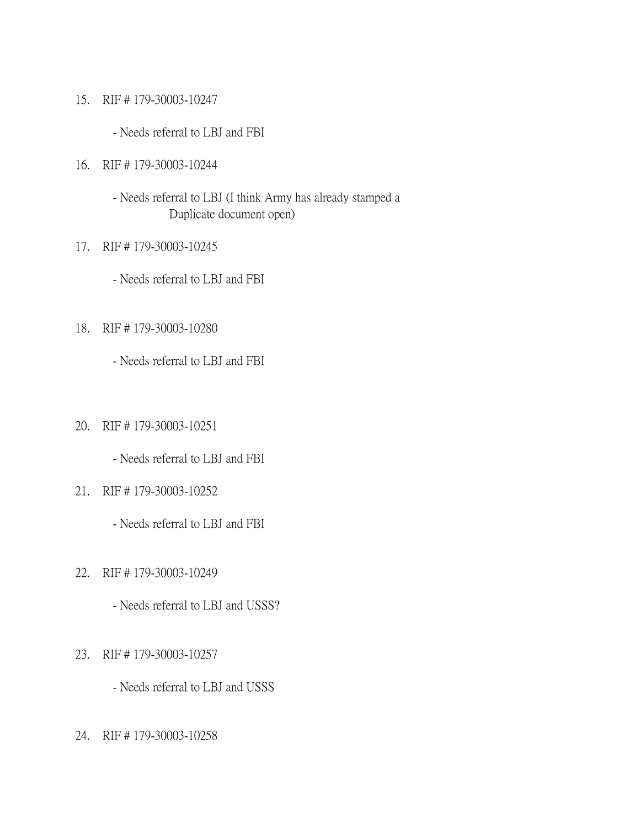- 15. RIF # 179-30003-10247
	- Needs referral to LBJ and FBI
- 16. RIF # 179-30003-10244
	- Needs referral to LBJ (I think Army has already stamped a Duplicate document open)
- 17. RIF # 179-30003-10245
	- Needs referral to LBJ and FBI
- 18. RIF # 179-30003-10280
	- Needs referral to LBJ and FBI
- 20. RIF # 179-30003-10251
	- Needs referral to LBJ and FBI
- 21. RIF # 179-30003-10252
	- Needs referral to LBJ and FBI
- 22. RIF # 179-30003-10249
	- Needs referral to LBJ and USSS?
- 23. RIF # 179-30003-10257
	- Needs referral to LBJ and USSS
- 24. RIF # 179-30003-10258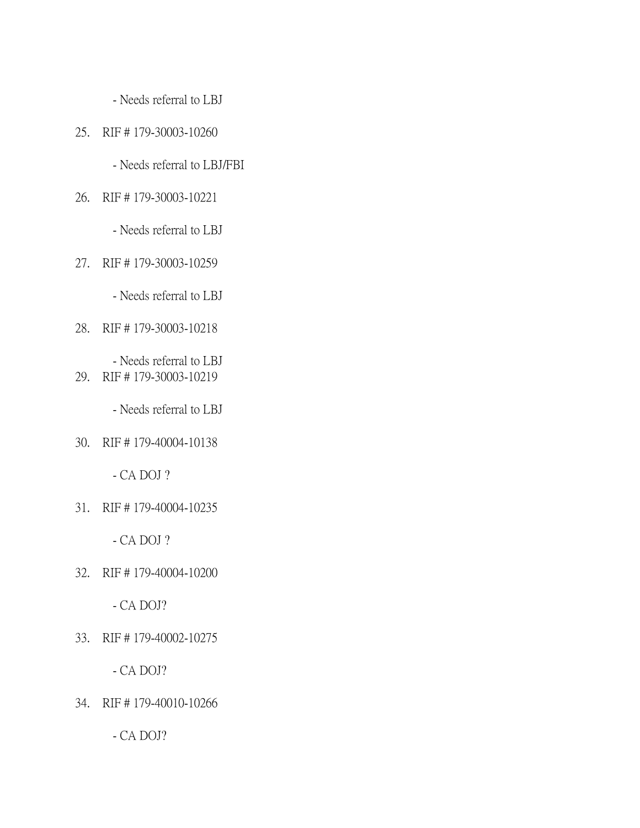- Needs referral to LBJ

# 25. RIF # 179-30003-10260

- Needs referral to LBJ/FBI

#### 26. RIF # 179-30003-10221

- Needs referral to LBJ

## 27. RIF # 179-30003-10259

- Needs referral to LBJ

# 28. RIF # 179-30003-10218

- Needs referral to LBJ 29. RIF # 179-30003-10219

- Needs referral to LBJ

30. RIF # 179-40004-10138

- CA DOJ ?

31. RIF # 179-40004-10235

- CA DOJ ?

32. RIF # 179-40004-10200

- CA DOJ?

33. RIF # 179-40002-10275

- CA DOJ?

34. RIF # 179-40010-10266

- CA DOJ?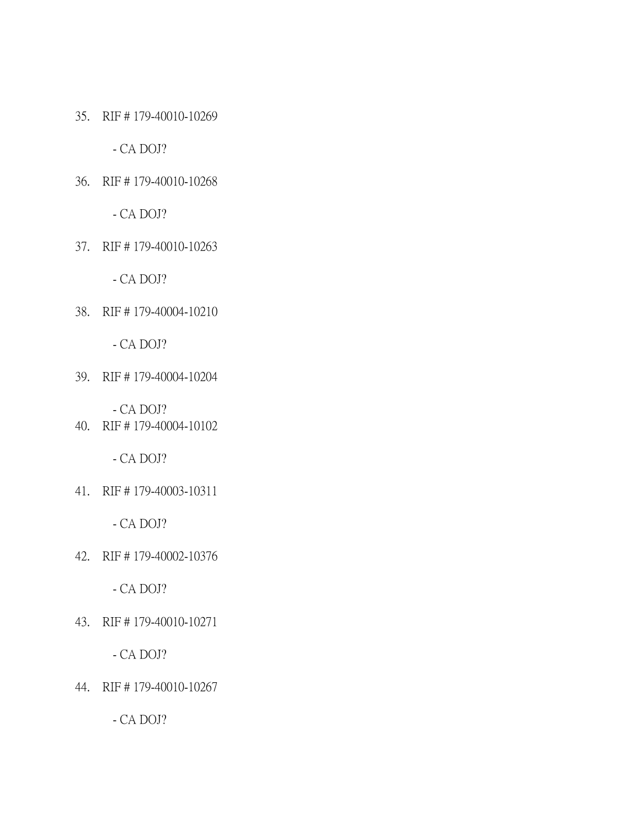35. RIF # 179-40010-10269

- CA DOJ?

36. RIF # 179-40010-10268

- CA DOJ?

37. RIF # 179-40010-10263

- CA DOJ?

38. RIF # 179-40004-10210

- CA DOJ?

39. RIF # 179-40004-10204

- CA DOJ?

40. RIF # 179-40004-10102

- CA DOJ?

41. RIF # 179-40003-10311

- CA DOJ?

42. RIF # 179-40002-10376

- CA DOJ?

43. RIF # 179-40010-10271

- CA DOJ?

44. RIF # 179-40010-10267

- CA DOJ?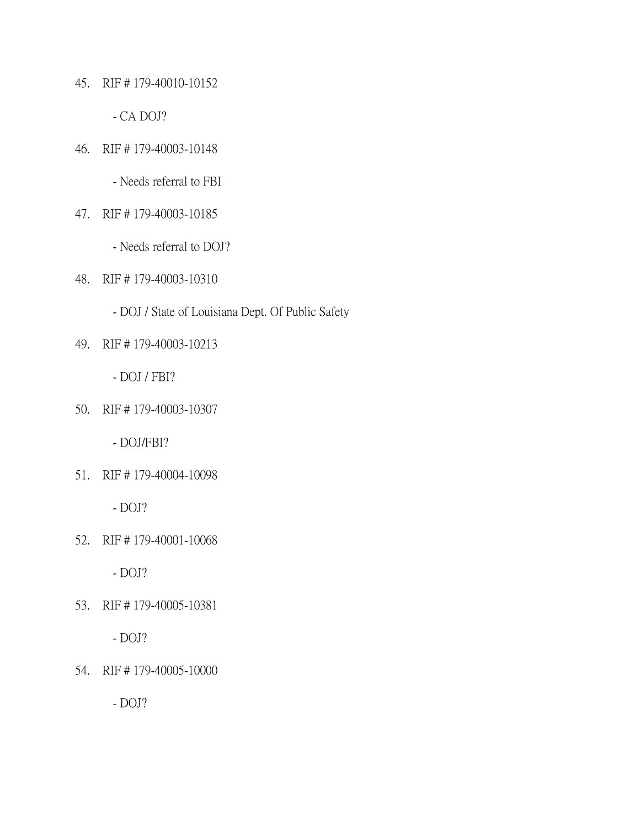45. RIF # 179-40010-10152

- CA DOJ?

46. RIF # 179-40003-10148

- Needs referral to FBI

47. RIF # 179-40003-10185

- Needs referral to DOJ?

48. RIF # 179-40003-10310

- DOJ / State of Louisiana Dept. Of Public Safety

49. RIF # 179-40003-10213

- DOJ / FBI?

50. RIF # 179-40003-10307

- DOJ/FBI?

51. RIF # 179-40004-10098

- DOJ?

52. RIF # 179-40001-10068

- DOJ?

53. RIF # 179-40005-10381

- DOJ?

54. RIF # 179-40005-10000

- DOJ?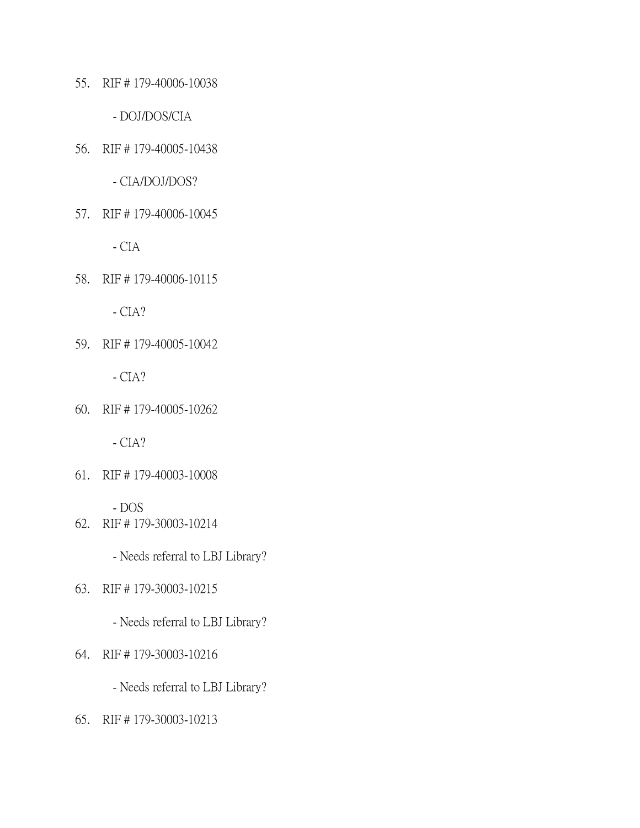55. RIF # 179-40006-10038

- DOJ/DOS/CIA

56. RIF # 179-40005-10438

- CIA/DOJ/DOS?

57. RIF # 179-40006-10045

- CIA

58. RIF # 179-40006-10115

 $- CIA?$ 

59. RIF # 179-40005-10042

- CIA?

60. RIF # 179-40005-10262

- CIA?

61. RIF # 179-40003-10008

- DOS

62. RIF # 179-30003-10214

- Needs referral to LBJ Library?

63. RIF # 179-30003-10215

- Needs referral to LBJ Library?

64. RIF # 179-30003-10216

- Needs referral to LBJ Library?

65. RIF # 179-30003-10213